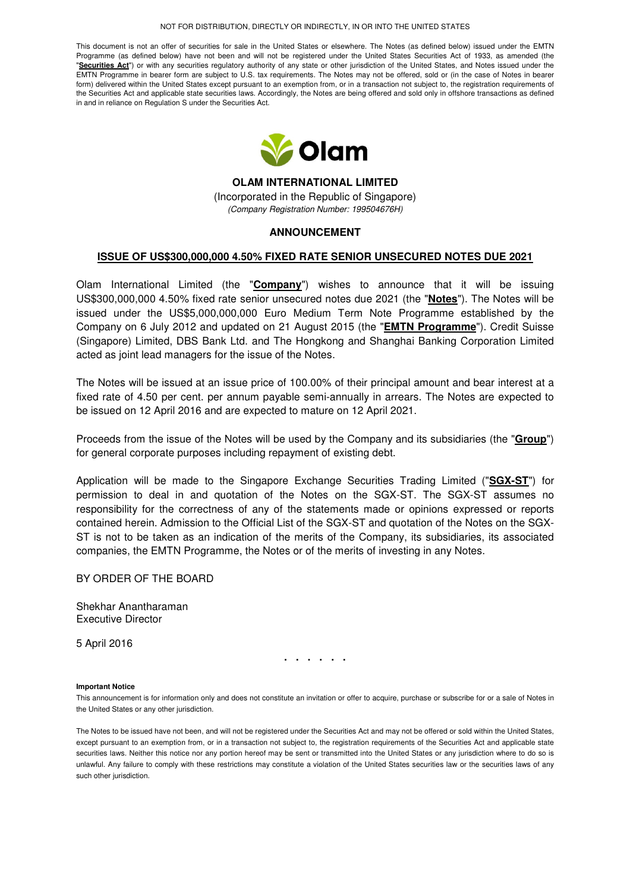#### NOT FOR DISTRIBUTION, DIRECTLY OR INDIRECTLY, IN OR INTO THE UNITED STATES

This document is not an offer of securities for sale in the United States or elsewhere. The Notes (as defined below) issued under the EMTN Programme (as defined below) have not been and will not be registered under the United States Securities Act of 1933, as amended (the "**Securities Act**") or with any securities regulatory authority of any state or other jurisdiction of the United States, and Notes issued under the EMTN Programme in bearer form are subject to U.S. tax requirements. The Notes may not be offered, sold or (in the case of Notes in bearer form) delivered within the United States except pursuant to an exemption from, or in a transaction not subject to, the registration requirements of the Securities Act and applicable state securities laws. Accordingly, the Notes are being offered and sold only in offshore transactions as defined in and in reliance on Regulation S under the Securities Act.



**OLAM INTERNATIONAL LIMITED**  (Incorporated in the Republic of Singapore) (Company Registration Number: 199504676H)

# **ANNOUNCEMENT**

## **ISSUE OF US\$300,000,000 4.50% FIXED RATE SENIOR UNSECURED NOTES DUE 2021**

Olam International Limited (the "**Company**") wishes to announce that it will be issuing US\$300,000,000 4.50% fixed rate senior unsecured notes due 2021 (the "**Notes**"). The Notes will be issued under the US\$5,000,000,000 Euro Medium Term Note Programme established by the Company on 6 July 2012 and updated on 21 August 2015 (the "**EMTN Programme**"). Credit Suisse (Singapore) Limited, DBS Bank Ltd. and The Hongkong and Shanghai Banking Corporation Limited acted as joint lead managers for the issue of the Notes.

The Notes will be issued at an issue price of 100.00% of their principal amount and bear interest at a fixed rate of 4.50 per cent. per annum payable semi-annually in arrears. The Notes are expected to be issued on 12 April 2016 and are expected to mature on 12 April 2021.

Proceeds from the issue of the Notes will be used by the Company and its subsidiaries (the "**Group**") for general corporate purposes including repayment of existing debt.

Application will be made to the Singapore Exchange Securities Trading Limited ("**SGX-ST**") for permission to deal in and quotation of the Notes on the SGX-ST. The SGX-ST assumes no responsibility for the correctness of any of the statements made or opinions expressed or reports contained herein. Admission to the Official List of the SGX-ST and quotation of the Notes on the SGX-ST is not to be taken as an indication of the merits of the Company, its subsidiaries, its associated companies, the EMTN Programme, the Notes or of the merits of investing in any Notes.

### BY ORDER OF THE BOARD

Shekhar Anantharaman Executive Director

5 April 2016

**. . . . . .** 

### **Important Notice**

This announcement is for information only and does not constitute an invitation or offer to acquire, purchase or subscribe for or a sale of Notes in the United States or any other jurisdiction.

The Notes to be issued have not been, and will not be registered under the Securities Act and may not be offered or sold within the United States, except pursuant to an exemption from, or in a transaction not subject to, the registration requirements of the Securities Act and applicable state securities laws. Neither this notice nor any portion hereof may be sent or transmitted into the United States or any jurisdiction where to do so is unlawful. Any failure to comply with these restrictions may constitute a violation of the United States securities law or the securities laws of any such other jurisdiction.